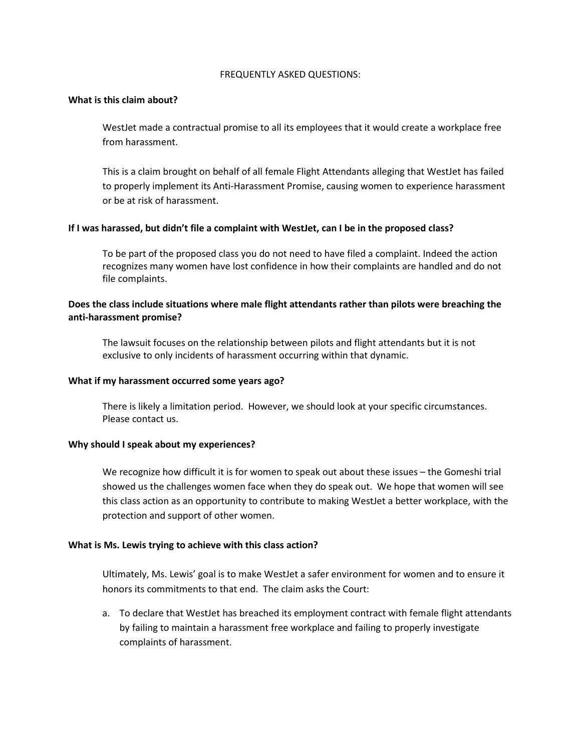### FREQUENTLY ASKED QUESTIONS:

### **What is this claim about?**

WestJet made a contractual promise to all its employees that it would create a workplace free from harassment.

This is a claim brought on behalf of all female Flight Attendants alleging that WestJet has failed to properly implement its Anti-Harassment Promise, causing women to experience harassment or be at risk of harassment.

# **If I was harassed, but didn't file a complaint with WestJet, can I be in the proposed class?**

To be part of the proposed class you do not need to have filed a complaint. Indeed the action recognizes many women have lost confidence in how their complaints are handled and do not file complaints.

# **Does the class include situations where male flight attendants rather than pilots were breaching the anti-harassment promise?**

The lawsuit focuses on the relationship between pilots and flight attendants but it is not exclusive to only incidents of harassment occurring within that dynamic.

### **What if my harassment occurred some years ago?**

There is likely a limitation period. However, we should look at your specific circumstances. Please contact us.

# **Why should I speak about my experiences?**

We recognize how difficult it is for women to speak out about these issues – the Gomeshi trial showed us the challenges women face when they do speak out. We hope that women will see this class action as an opportunity to contribute to making WestJet a better workplace, with the protection and support of other women.

# **What is Ms. Lewis trying to achieve with this class action?**

Ultimately, Ms. Lewis' goal is to make WestJet a safer environment for women and to ensure it honors its commitments to that end. The claim asks the Court:

a. To declare that WestJet has breached its employment contract with female flight attendants by failing to maintain a harassment free workplace and failing to properly investigate complaints of harassment.